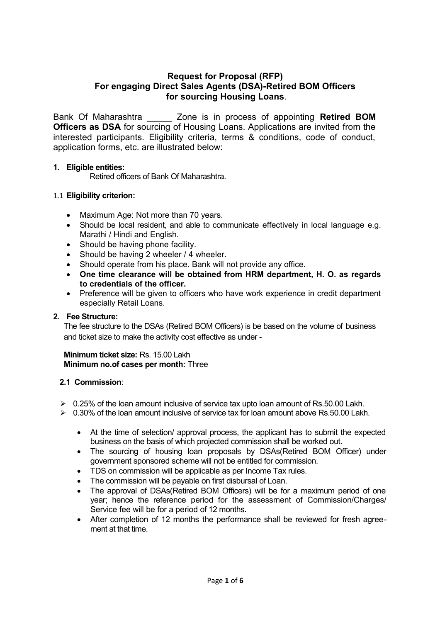## **Request for Proposal (RFP) For engaging Direct Sales Agents (DSA)-Retired BOM Officers for sourcing Housing Loans**.

Bank Of Maharashtra \_\_\_\_\_ Zone is in process of appointing **Retired BOM Officers as DSA** for sourcing of Housing Loans. Applications are invited from the interested participants. Eligibility criteria, terms & conditions, code of conduct, application forms, etc. are illustrated below:

## **1. Eligible entities:**

Retired officers of Bank Of Maharashtra.

## 1.1 **Eligibility criterion:**

- Maximum Age: Not more than 70 years.
- Should be local resident, and able to communicate effectively in local language e.g. Marathi / Hindi and English.
- Should be having phone facility.
- Should be having 2 wheeler / 4 wheeler.
- Should operate from his place. Bank will not provide any office.
- **One time clearance will be obtained from HRM department, H. O. as regards to credentials of the officer.**
- Preference will be given to officers who have work experience in credit department especially Retail Loans.

## **2. Fee Structure:**

The fee structure to the DSAs (Retired BOM Officers) is be based on the volume of business and ticket size to make the activity cost effective as under -

#### **Minimum ticket size:** Rs. 15.00 Lakh **Minimum no.of cases per month:** Three

## **2.1 Commission**:

- $\triangleright$  0.25% of the loan amount inclusive of service tax upto loan amount of Rs.50.00 Lakh.
- $\geq 0.30\%$  of the loan amount inclusive of service tax for loan amount above Rs.50.00 Lakh.
	- At the time of selection/ approval process, the applicant has to submit the expected business on the basis of which projected commission shall be worked out.
	- The sourcing of housing loan proposals by DSAs(Retired BOM Officer) under government sponsored scheme will not be entitled for commission.
	- TDS on commission will be applicable as per Income Tax rules.
	- The commission will be payable on first disbursal of Loan.
	- The approval of DSAs(Retired BOM Officers) will be for a maximum period of one year; hence the reference period for the assessment of Commission/Charges/ Service fee will be for a period of 12 months.
	- After completion of 12 months the performance shall be reviewed for fresh agreement at that time.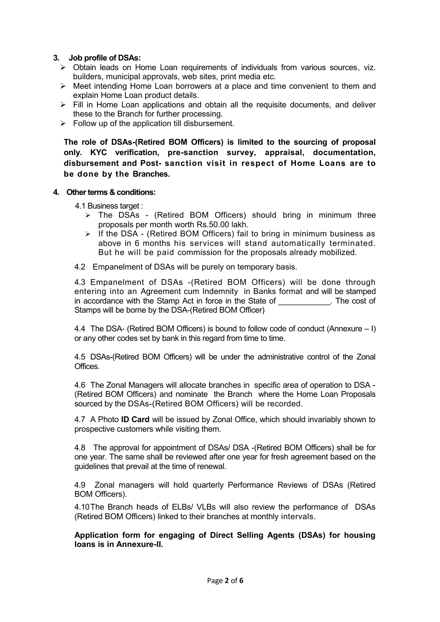## **3. Job profile of DSAs:**

- $\triangleright$  Obtain leads on Home Loan requirements of individuals from various sources, viz. builders, municipal approvals, web sites, print media etc.
- $\triangleright$  Meet intending Home Loan borrowers at a place and time convenient to them and explain Home Loan product details.
- $\triangleright$  Fill in Home Loan applications and obtain all the requisite documents, and deliver these to the Branch for further processing.
- $\triangleright$  Follow up of the application till disbursement.

**The role of DSAs-(Retired BOM Officers) is limited to the sourcing of proposal only. KYC verification, pre-sanction survey, appraisal, documentation, disbursement and Post- sanction visit in respect of Home Loans are to be done by the Branches.**

#### **4. Other terms & conditions:**

4.1 Business target :

- $\triangleright$  The DSAs (Retired BOM Officers) should bring in minimum three proposals per month worth Rs.50.00 lakh.
- $\triangleright$  If the DSA (Retired BOM Officers) fail to bring in minimum business as above in 6 months his services will stand automatically terminated. But he will be paid commission for the proposals already mobilized.
- 4.2 Empanelment of DSAs will be purely on temporary basis.

4.3 Empanelment of DSAs -(Retired BOM Officers) will be done through entering into an Agreement cum Indemnity in Banks format and will be stamped in accordance with the Stamp Act in force in the State of \_\_\_\_\_\_\_\_\_\_\_\_. The cost of Stamps will be borne by the DSA-(Retired BOM Officer)

4.4 The DSA- (Retired BOM Officers) is bound to follow code of conduct (Annexure – I) or any other codes set by bank in this regard from time to time.

4.5 DSAs-(Retired BOM Officers) will be under the administrative control of the Zonal Offices.

4.6 The Zonal Managers will allocate branches in specific area of operation to DSA - (Retired BOM Officers) and nominate the Branch where the Home Loan Proposals sourced by the DSAs-(Retired BOM Officers) will be recorded.

4.7 A Photo **ID Card** will be issued by Zonal Office, which should invariably shown to prospective customers while visiting them.

4.8 The approval for appointment of DSAs/ DSA -(Retired BOM Officers) shall be for one year. The same shall be reviewed after one year for fresh agreement based on the guidelines that prevail at the time of renewal.

4.9 Zonal managers will hold quarterly Performance Reviews of DSAs (Retired BOM Officers).

4.10The Branch heads of ELBs/ VLBs will also review the performance of DSAs (Retired BOM Officers) linked to their branches at monthly intervals.

**Application form for engaging of Direct Selling Agents (DSAs) for housing loans is in Annexure-II.**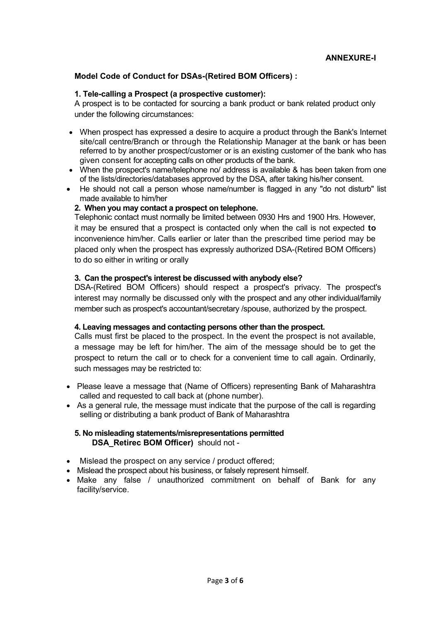## **Model Code of Conduct for DSAs-(Retired BOM Officers) :**

#### **1. Tele-calling a Prospect (a prospective customer):**

A prospect is to be contacted for sourcing a bank product or bank related product only under the following circumstances:

- · When prospect has expressed a desire to acquire a product through the Bank's Internet site/call centre/Branch or through the Relationship Manager at the bank or has been referred to by another prospect/customer or is an existing customer of the bank who has given consent for accepting calls on other products of the bank.
- · When the prospect's name/telephone no/ address is available & has been taken from one of the lists/directories/databases approved by the DSA, after taking his/her consent.
- He should not call a person whose name/number is flagged in any "do not disturb" list made available to him/her

#### **2. When you may contact a prospect on telephone.**

Telephonic contact must normally be limited between 0930 Hrs and 1900 Hrs. However, it may be ensured that a prospect is contacted only when the call is not expected **to** inconvenience him/her. Calls earlier or later than the prescribed time period may be placed only when the prospect has expressly authorized DSA-(Retired BOM Officers) to do so either in writing or orally

#### **3. Can the prospect's interest be discussed with anybody else?**

DSA-(Retired BOM Officers) should respect a prospect's privacy. The prospect's interest may normally be discussed only with the prospect and any other individual/family member such as prospect's accountant/secretary /spouse, authorized by the prospect.

#### **4. Leaving messages and contacting persons other than the prospect.**

Calls must first be placed to the prospect. In the event the prospect is not available, a message may be left for him/her. The aim of the message should be to get the prospect to return the call or to check for a convenient time to call again. Ordinarily, such messages may be restricted to:

- · Please leave a message that (Name of Officers) representing Bank of Maharashtra called and requested to call back at (phone number).
- · As a general rule, the message must indicate that the purpose of the call is regarding selling or distributing a bank product of Bank of Maharashtra

#### **5. No misleading statements/misrepresentations permitted DSA\_Retirec BOM Officer)** should not -

- · Mislead the prospect on any service / product offered;
- · Mislead the prospect about his business, or falsely represent himself.
- · Make any false / unauthorized commitment on behalf of Bank for any facility/service.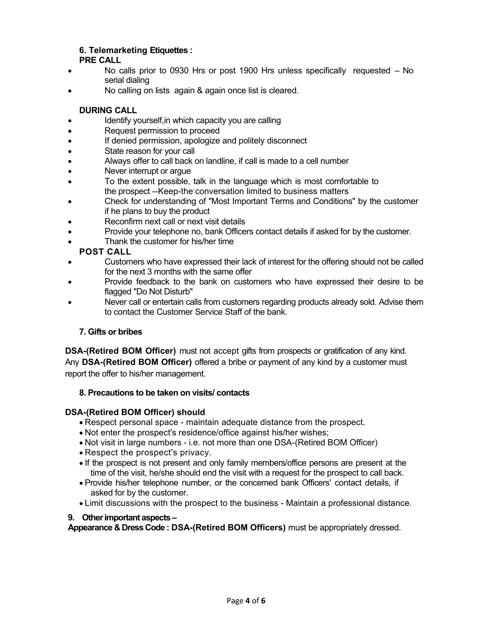## **6. Telemarketing Etiquettes :**

## **PRE CALL**

- · No calls prior to 0930 Hrs or post 1900 Hrs unless specifically requested No serial dialing
- No calling on lists again & again once list is cleared.

## **DURING CALL**

- Identify yourself, in which capacity you are calling
- Request permission to proceed
- · If denied permission, apologize and politely disconnect
- State reason for your call
- Always offer to call back on landline, if call is made to a cell number
- Never interrupt or argue
- · To the extent possible, talk in the language which is most comfortable to the prospect --Keep-the-conversation limited to business matters
- · Check for understanding of "Most Important Terms and Conditions" by the customer if he plans to buy the product
- Reconfirm next call or next visit details
- Provide your telephone no, bank Officers contact details if asked for by the customer.
- Thank the customer for his/her time

## **POST CALL**

- · Customers who have expressed their lack of interest for the offering should not be called for the next 3 months with the same offer
- Provide feedback to the bank on customers who have expressed their desire to be flagged "Do Not Disturb"
- Never call or entertain calls from customers regarding products already sold. Advise them to contact the Customer Service Staff of the bank.

## **7. Gifts or bribes**

**DSA-(Retired BOM Officer)** must not accept gifts from prospects or gratification of any kind. Any **DSA-(Retired BOM Officer)** offered a bribe or payment of any kind by a customer must report the offer to his/her management.

## **8. Precautions to be taken on visits/ contacts**

## **DSA-(Retired BOM Officer) should**

- · Respect personal space maintain adequate distance from the prospect.
- · Not enter the prospect's residence/office against his/her wishes;
- · Not visit in large numbers i.e. not more than one DSA-(Retired BOM Officer)
- · Respect the prospect's privacy.
- · If the prospect is not present and only family members/office persons are present at the time of the visit, he/she should end the visit with a request for the prospect to call back.
- · Provide his/her telephone number, or the concerned bank Officers' contact details, if asked for by the customer.
- · Limit discussions with the prospect to the business Maintain a professional distance.

#### **9. Other important aspects –**

**Appearance & Dress Code : DSA-(Retired BOM Officers)** must be appropriately dressed.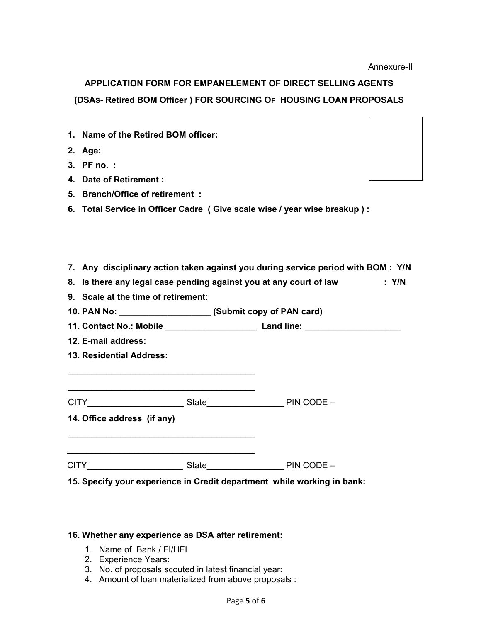Annexure-II

# **APPLICATION FORM FOR EMPANELEMENT OF DIRECT SELLING AGENTS (DSAS- Retired BOM Officer ) FOR SOURCING OF HOUSING LOAN PROPOSALS**

- **1. Name of the Retired BOM officer:**
- **2. Age:**
- **3. PF no. :**
- **4. Date of Retirement :**
- **5. Branch/Office of retirement :**
- **6. Total Service in Officer Cadre ( Give scale wise / year wise breakup ) :**
- **7. Any disciplinary action taken against you during service period with BOM : Y/N**
- **8. Is there any legal case pending against you at any court of law : Y/N**
- **9. Scale at the time of retirement:**

\_\_\_\_\_\_\_\_\_\_\_\_\_\_\_\_\_\_\_\_\_\_\_\_\_\_\_\_\_\_\_\_\_\_\_\_\_\_\_

- **10. PAN No: \_\_\_\_\_\_\_\_\_\_\_\_\_\_\_\_\_\_\_ (Submit copy of PAN card)**
- **11. Contact No.: Mobile \_\_\_\_\_\_\_\_\_\_\_\_\_\_\_\_\_\_\_ Land line: \_\_\_\_\_\_\_\_\_\_\_\_\_\_\_\_\_\_\_\_**
- **12. E-mail address:**
- **13. Residential Address:**

| <b>CITY</b>                 | <b>State</b> | PIN CODE - |
|-----------------------------|--------------|------------|
| 14. Office address (if any) |              |            |
|                             |              |            |
| <b>CITY</b>                 | <b>State</b> | PIN CODE - |

**15. Specify your experience in Credit department while working in bank:** 

#### **16. Whether any experience as DSA after retirement:**

- 1. Name of Bank / FI/HFI
- 2. Experience Years:
- 3. No. of proposals scouted in latest financial year:
- 4. Amount of loan materialized from above proposals :